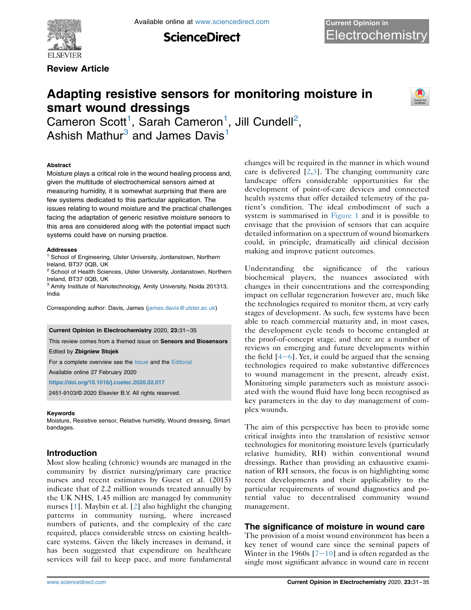

Available online at [www.sciencedirect.com](www.sciencedirect.com/science/journal/24519103)

**ScienceDirect** 

Review Article

# Adapting resistive sensors for monitoring moisture in smart wound dressings



Cameron Scott<sup>[1](#page-0-0)</sup>, Sarah Cameron<sup>1</sup>, Jill Cundell<sup>[2](#page-0-1)</sup>, Ashish Mathur $3$  and James Davis<sup>[1](#page-0-0)</sup>

#### Abstract

Moisture plays a critical role in the wound healing process and, given the multitude of electrochemical sensors aimed at measuring humidity, it is somewhat surprising that there are few systems dedicated to this particular application. The issues relating to wound moisture and the practical challenges facing the adaptation of generic resistive moisture sensors to this area are considered along with the potential impact such systems could have on nursing practice.

#### Addresses

<span id="page-0-0"></span><sup>1</sup> School of Engineering, Ulster University, Jordanstown, Northern Ireland, BT37 0QB, UK

<span id="page-0-1"></span><sup>2</sup> School of Health Sciences, Ulster University, Jordanstown, Northern Ireland, BT37 0QB, UK

<span id="page-0-2"></span><sup>3</sup> Amity Institute of Nanotechnology, Amity University, Noida 201313, India

Corresponding author: Davis, James [\(james.davis@ulster.ac.uk](mailto:james.davis@ulster.ac.uk))

#### Current Opinion in Electrochemistry 2020, 23:31–35

This review comes from a themed issue on Sensors and Biosensors

Edited by Zbigniew Stojek

For a complete overview see the [Issue](http://www.sciencedirect.com/science/journal/18796257/vol/issue) and the [Editorial](https://doi.org/10.1016/j.coelec.2020.02.017)

Available online 27 February 2020

<https://doi.org/10.1016/j.coelec.2020.02.017>

2451-9103/© 2020 Elsevier B.V. All rights reserved.

#### Keywords

Moisture, Resistive sensor, Relative humidity, Wound dressing, Smart bandages.

# Introduction

Most slow healing (chronic) wounds are managed in the community by district nursing/primary care practice nurses and recent estimates by Guest et al. (2015) indicate that of 2.2 million wounds treated annually by the UK NHS, 1.45 million are managed by community nurses [[1\]](#page-3-0). Maybin et al. [\[2\]](#page-3-1) also highlight the changing patterns in community nursing, where increased numbers of patients, and the complexity of the care required, places considerable stress on existing healthcare systems. Given the likely increases in demand, it has been suggested that expenditure on healthcare services will fail to keep pace, and more fundamental

changes will be required in the manner in which wound care is delivered  $[2,3]$  $[2,3]$  $[2,3]$  $[2,3]$ . The changing community care landscape offers considerable opportunities for the development of point-of-care devices and connected health systems that offer detailed telemetry of the patient's condition. The ideal embodiment of such a system is summarised in [Figure 1](#page-1-0) and it is possible to envisage that the provision of sensors that can acquire detailed information on a spectrum of wound biomarkers could, in principle, dramatically aid clinical decision making and improve patient outcomes.

Understanding the significance of the various biochemical players, the nuances associated with changes in their concentrations and the corresponding impact on cellular regeneration however are, much like the technologies required to monitor them, at very early stages of development. As such, few systems have been able to reach commercial maturity and, in most cases, the development cycle tends to become entangled at the proof-of-concept stage, and there are a number of reviews on emerging and future developments within the field  $[4-6]$  $[4-6]$  $[4-6]$  $[4-6]$ . Yet, it could be argued that the sensing technologies required to make substantive differences to wound management in the present, already exist. Monitoring simple parameters such as moisture associated with the wound fluid have long been recognised as key parameters in the day to day management of complex wounds.

The aim of this perspective has been to provide some critical insights into the translation of resistive sensor technologies for monitoring moisture levels (particularly relative humidity, RH) within conventional wound dressings. Rather than providing an exhaustive examination of RH sensors, the focus is on highlighting some recent developments and their applicability to the particular requirements of wound diagnostics and potential value to decentralised community wound management.

# The significance of moisture in wound care

The provision of a moist wound environment has been a key tenet of wound care since the seminal papers of Winter in the 1960s  $[7-10]$  $[7-10]$  $[7-10]$  $[7-10]$  $[7-10]$  and is often regarded as the single most significant advance in wound care in recent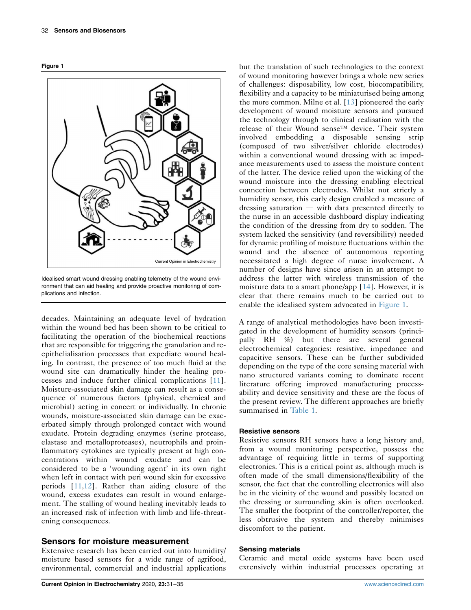<span id="page-1-0"></span>



Idealised smart wound dressing enabling telemetry of the wound environment that can aid healing and provide proactive monitoring of complications and infection.

decades. Maintaining an adequate level of hydration within the wound bed has been shown to be critical to facilitating the operation of the biochemical reactions that are responsible for triggering the granulation and reepithelialisation processes that expediate wound healing. In contrast, the presence of too much fluid at the wound site can dramatically hinder the healing processes and induce further clinical complications [[11](#page-3-5)]. Moisture-associated skin damage can result as a consequence of numerous factors (physical, chemical and microbial) acting in concert or individually. In chronic wounds, moisture-associated skin damage can be exacerbated simply through prolonged contact with wound exudate. Protein degrading enzymes (serine protease, elastase and metalloproteases), neutrophils and proinflammatory cytokines are typically present at high concentrations within wound exudate and can be considered to be a 'wounding agent' in its own right when left in contact with peri wound skin for excessive periods [\[11,](#page-3-5)[12\]](#page-3-6). Rather than aiding closure of the wound, excess exudates can result in wound enlargement. The stalling of wound healing inevitably leads to an increased risk of infection with limb and life-threatening consequences.

## Sensors for moisture measurement

Extensive research has been carried out into humidity/ moisture based sensors for a wide range of agrifood, environmental, commercial and industrial applications but the translation of such technologies to the context of wound monitoring however brings a whole new series of challenges: disposability, low cost, biocompatibility, flexibility and a capacity to be miniaturised being among the more common. Milne et al. [[13](#page-3-7)] pioneered the early development of wound moisture sensors and pursued the technology through to clinical realisation with the release of their Wound sense™ device. Their system involved embedding a disposable sensing strip (composed of two silver/silver chloride electrodes) within a conventional wound dressing with ac impedance measurements used to assess the moisture content of the latter. The device relied upon the wicking of the wound moisture into the dressing enabling electrical connection between electrodes. Whilst not strictly a humidity sensor, this early design enabled a measure of dressing saturation  $-$  with data presented directly to the nurse in an accessible dashboard display indicating the condition of the dressing from dry to sodden. The system lacked the sensitivity (and reversibility) needed for dynamic profiling of moisture fluctuations within the wound and the absence of autonomous reporting necessitated a high degree of nurse involvement. A number of designs have since arisen in an attempt to address the latter with wireless transmission of the moisture data to a smart phone/app [\[14\]](#page-3-8). However, it is clear that there remains much to be carried out to enable the idealised system advocated in [Figure 1](#page-1-0).

A range of analytical methodologies have been investigated in the development of humidity sensors (principally RH %) but there are several general electrochemical categories: resistive, impedance and capacitive sensors. These can be further subdivided depending on the type of the core sensing material with nano structured variants coming to dominate recent literature offering improved manufacturing processability and device sensitivity and these are the focus of the present review. The different approaches are briefly summarised in [Table 1](#page-2-0).

## Resistive sensors

Resistive sensors RH sensors have a long history and, from a wound monitoring perspective, possess the advantage of requiring little in terms of supporting electronics. This is a critical point as, although much is often made of the small dimensions/flexibility of the sensor, the fact that the controlling electronics will also be in the vicinity of the wound and possibly located on the dressing or surrounding skin is often overlooked. The smaller the footprint of the controller/reporter, the less obtrusive the system and thereby minimises discomfort to the patient.

#### Sensing materials

Ceramic and metal oxide systems have been used extensively within industrial processes operating at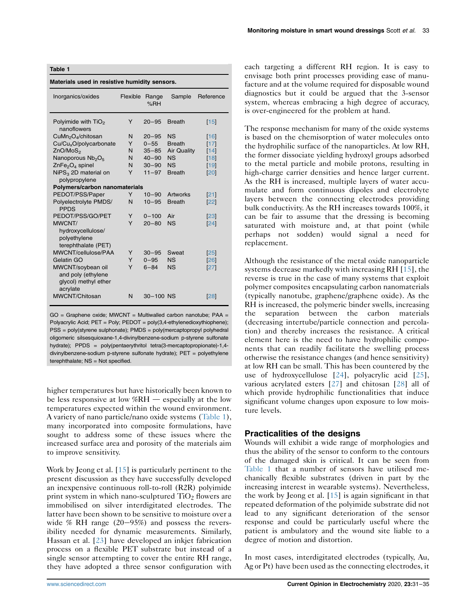<span id="page-2-0"></span>

| Table 1<br>Materials used in resistive humidity sensors.                    |   |           |                    |            |
|-----------------------------------------------------------------------------|---|-----------|--------------------|------------|
|                                                                             |   |           |                    |            |
| Polyimide with $TiO2$<br>nanoflowers                                        | Y | $20 - 95$ | <b>Breath</b>      | 15         |
| CuMn <sub>2</sub> O <sub>4</sub> /chitosan                                  | N | $20 - 95$ | <b>NS</b>          | [16]       |
| Cu/Cu <sub>x</sub> O/polycarbonate                                          | Υ | $0 - 55$  | <b>Breath</b>      | $[17]$     |
| ZnO/MoS <sub>2</sub>                                                        | N | $35 - 85$ | <b>Air Quality</b> | [14]       |
| Nanoporous Nb <sub>2</sub> O <sub>5</sub>                                   | N | $40 - 90$ | <b>NS</b>          | [18]       |
| $ZnFe2O4$ spinel                                                            | N | $30 - 90$ | <b>NS</b>          | [19]       |
| $NiPS3$ 2D material on<br>polypropylene                                     | Y | $11 - 97$ | <b>Breath</b>      | 20         |
| Polymers/carbon nanomaterials                                               |   |           |                    |            |
| PEDOT/PSS/Paper                                                             | Y | $10 - 90$ | <b>Artworks</b>    | 21         |
| Polyelectrolyte PMDS/<br><b>PPDS</b>                                        | N | $10 - 95$ | <b>Breath</b>      | 22         |
| PEDOT/PSS/GO/PET                                                            | Y | $0 - 100$ | Air                | 23         |
| MWCNT/<br>hydroxycellulose/<br>polyethylene<br>terephthalate (PET)          | Y | $20 - 80$ | <b>NS</b>          | 24         |
| MWCNT/cellulose/PAA                                                         | Y | $30 - 95$ | Sweat              | 25         |
| Gelatin GO                                                                  | Y | $0 - 95$  | <b>NS</b>          | [26]       |
| MWCNT/soybean oil<br>and poly (ethylene<br>glycol) methyl ether<br>acrylate | Υ | $6 - 84$  | <b>NS</b>          | 27         |
| MWCNT/Chitosan                                                              | N | 30-100 NS |                    | <b>281</b> |

GO = Graphene oxide; MWCNT = Multiwalled carbon nanotube; PAA = Polyacrylic Acid; PET = Poly; PEDOT = poly(3,4-ethylenedioxythiophene); PSS = poly(styrene sulphonate); PMDS = poly(mercaptopropyl polyhedral oligomeric silsesquioxane-1,4-divinylbenzene-sodium p-styrene sulfonate hydrate); PPDS = poly(pentaerythritol tetra(3-mercaptopropionate)-1,4 divinylbenzene-sodium p-styrene sulfonate hydrate); PET = polyethylene terephthalate; NS = Not specified.

higher temperatures but have historically been known to be less responsive at low  $%RH$  d especially at the low temperatures expected within the wound environment. A variety of nano particle/nano oxide systems [\(Table 1](#page-2-0)), many incorporated into composite formulations, have sought to address some of these issues where the increased surface area and porosity of the materials aim to improve sensitivity.

Work by Jeong et al. [[15](#page-3-9)] is particularly pertinent to the present discussion as they have successfully developed an inexpensive continuous roll-to-roll (R2R) polyimide print system in which nano-sculptured  $TiO<sub>2</sub>$  flowers are immobilised on silver interdigitated electrodes. The latter have been shown to be sensitive to moisture over a wide % RH range  $(20-95%)$  and possess the reversibility needed for dynamic measurements. Similarly, Hassan et al. [[23](#page-4-0)] have developed an inkjet fabrication process on a flexible PET substrate but instead of a single sensor attempting to cover the entire RH range, they have adopted a three sensor configuration with each targeting a different RH region. It is easy to envisage both print processes providing ease of manufacture and at the volume required for disposable wound diagnostics but it could be argued that the 3-sensor system, whereas embracing a high degree of accuracy, is over-engineered for the problem at hand.

The response mechanism for many of the oxide systems is based on the chemisorption of water molecules onto the hydrophilic surface of the nanoparticles. At low RH, the former dissociate yielding hydroxyl groups adsorbed to the metal particle and mobile protons, resulting in high-charge carrier densities and hence larger current. As the RH is increased, multiple layers of water accumulate and form continuous dipoles and electrolyte layers between the connecting electrodes providing bulk conductivity. As the RH increases towards 100%, it can be fair to assume that the dressing is becoming saturated with moisture and, at that point (while perhaps not sodden) would signal a need for replacement.

Although the resistance of the metal oxide nanoparticle systems decrease markedly with increasing RH [[15](#page-3-9)], the reverse is true in the case of many systems that exploit polymer composites encapsulating carbon nanomaterials (typically nanotube, graphene/graphene oxide). As the RH is increased, the polymeric binder swells, increasing the separation between the carbon materials (decreasing intertube/particle connection and percolation) and thereby increases the resistance. A critical element here is the need to have hydrophilic components that can readily facilitate the swelling process otherwise the resistance changes (and hence sensitivity) at low RH can be small. This has been countered by the use of hydroxycellulose [[24](#page-4-1)], polyacrylic acid [\[25\]](#page-4-2), various acrylated esters [\[27\]](#page-4-3) and chitosan [[28](#page-4-4)] all of which provide hydrophilic functionalities that induce significant volume changes upon exposure to low moisture levels.

# Practicalities of the designs

Wounds will exhibit a wide range of morphologies and thus the ability of the sensor to conform to the contours of the damaged skin is critical. It can be seen from [Table 1](#page-2-0) that a number of sensors have utilised mechanically flexible substrates (driven in part by the increasing interest in wearable systems). Nevertheless, the work by Jeong et al. [\[15\]](#page-3-9) is again significant in that repeated deformation of the polyimide substrate did not lead to any significant deterioration of the sensor response and could be particularly useful where the patient is ambulatory and the wound site liable to a degree of motion and distortion.

In most cases, interdigitated electrodes (typically, Au, Ag or Pt) have been used as the connecting electrodes, it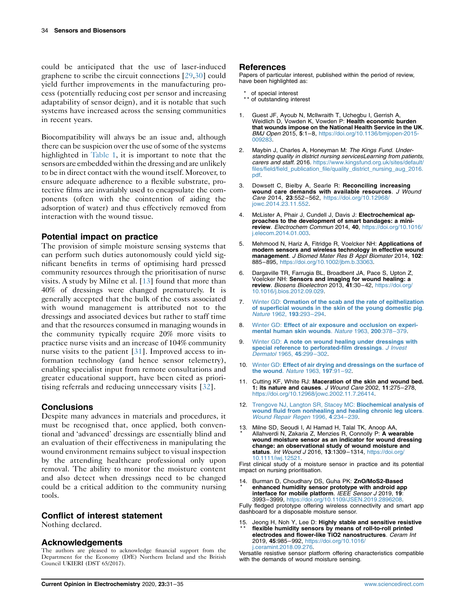could be anticipated that the use of laser-induced graphene to scribe the circuit connections [\[29](#page-4-13)[,30\]](#page-4-14) could yield further improvements in the manufacturing process (potentially reducing cost per sensor and increasing adaptability of sensor deign), and it is notable that such systems have increased across the sensing communities in recent years.

Biocompatibility will always be an issue and, although there can be suspicion over the use of some of the systems highlighted in [Table 1,](#page-2-0) it is important to note that the sensors are embedded within the dressing and are unlikely to be in direct contact with the wound itself. Moreover, to ensure adequate adherence to a flexible substrate, protective films are invariably used to encapsulate the components (often with the cointention of aiding the adsorption of water) and thus effectively removed from interaction with the wound tissue.

# Potential impact on practice

The provision of simple moisture sensing systems that can perform such duties autonomously could yield significant benefits in terms of optimising hard pressed community resources through the prioritisation of nurse visits. A study by Milne et al. [\[13\]](#page-3-7) found that more than 40% of dressings were changed prematurely. It is generally accepted that the bulk of the costs associated with wound management is attributed not to the dressings and associated devices but rather to staff time and that the resources consumed in managing wounds in the community typically require 20% more visits to practice nurse visits and an increase of 104% community nurse visits to the patient [[31\]](#page-4-15). Improved access to information technology (and hence sensor telemetry), enabling specialist input from remote consultations and greater educational support, have been cited as prioritising referrals and reducing unnecessary visits [\[32\]](#page-4-16).

# **Conclusions**

Despite many advances in materials and procedures, it must be recognised that, once applied, both conventional and 'advanced' dressings are essentially blind and an evaluation of their effectiveness in manipulating the wound environment remains subject to visual inspection by the attending healthcare professional only upon removal. The ability to monitor the moisture content and also detect when dressings need to be changed could be a critical addition to the community nursing tools.

## Conflict of interest statement

Nothing declared.

## **Acknowledgements**

The authors are pleased to acknowledge financial support from the Department for the Economy (DfE) Northern Ireland and the British Council UKIERI (DST 65/2017).

#### References

Papers of particular interest, published within the period of review, have been highlighted as:

- of special interest
- \*\* of outstanding interest
- <span id="page-3-0"></span>1. Guest JF, Ayoub N, McIlwraith T, Uchegbu I, Gerrish A, Weidlich D, Vowden K, Vowden P: Health economic burden that wounds impose on the National Health Service in the UK. BMJ Open 2015, 5:1–8, [https://doi.org/10.1136/bmjopen-2015-](https://doi.org/10.1136/bmjopen-2015-009283) [009283.](https://doi.org/10.1136/bmjopen-2015-009283)
- <span id="page-3-1"></span>2. Maybin J, Charles A, Honeyman M: The Kings Fund. Understanding quality in district nursing servicesLearning from patients, carers and staff. 2016. [https://www.kingsfund.org.uk/sites/default/](https://www.kingsfund.org.uk/sites/default/files/field/field_publication_file/quality_district_nursing_aug_2016.pdf) [files/field/field\\_publication\\_file/quality\\_district\\_nursing\\_aug\\_2016.](https://www.kingsfund.org.uk/sites/default/files/field/field_publication_file/quality_district_nursing_aug_2016.pdf) [pdf.](https://www.kingsfund.org.uk/sites/default/files/field/field_publication_file/quality_district_nursing_aug_2016.pdf)
- <span id="page-3-2"></span>3. Dowsett C, Bielby A, Searle R: Reconciling increasing wound care demands with available resources. J Wound Care 2014, 23:552–562, [https://doi.org/10.12968/](https://doi.org/10.12968/jowc.2014.23.11.552) [jowc.2014.23.11.552](https://doi.org/10.12968/jowc.2014.23.11.552).
- <span id="page-3-3"></span>4. McLister A, Phair J, Cundell J, Davis J: Electrochemical approaches to the development of smart bandages: a minireview. Electrochem Commun 2014, 40, [https://doi.org/10.1016/](https://doi.org/10.1016/j.elecom.2014.01.003) [j.elecom.2014.01.003.](https://doi.org/10.1016/j.elecom.2014.01.003)
- 5. Mehmood N, Hariz A, Fitridge R, Voelcker NH: Applications of modern sensors and wireless technology in effective wound management. J Biomed Mater Res B Appl Biomater 2014, 102: 885–895, <https://doi.org/10.1002/jbm.b.33063>.
- 6. Dargaville TR, Farrugia BL, Broadbent JA, Pace S, Upton Z, Voelcker NH: Sensors and imaging for wound healing: a review. Biosens Bioelectron 2013, 41:30–42, [https://doi.org/](https://doi.org/10.1016/j.bios.2012.09.029) [10.1016/j.bios.2012.09.029.](https://doi.org/10.1016/j.bios.2012.09.029)
- <span id="page-3-4"></span>7. Winter GD: [Ormation of the scab and the rate of epithelization](http://refhub.elsevier.com/S2451-9103(20)30048-X/sref7) [of superficial wounds in the skin of the young domestic pig](http://refhub.elsevier.com/S2451-9103(20)30048-X/sref7). [Nature](http://refhub.elsevier.com/S2451-9103(20)30048-X/sref7) 1962, 193:293–294.
- 8. Winter GD: [Effect of air exposure and occlusion on experi](http://refhub.elsevier.com/S2451-9103(20)30048-X/sref8)[mental human skin wounds](http://refhub.elsevier.com/S2451-9103(20)30048-X/sref8). Nature 1963, 200:378–379.
- 9. Winter GD: [A note on wound healing under dressings with](http://refhub.elsevier.com/S2451-9103(20)30048-X/sref9) [special reference to perforated-film dressings](http://refhub.elsevier.com/S2451-9103(20)30048-X/sref9). J Invest [Dermatol](http://refhub.elsevier.com/S2451-9103(20)30048-X/sref9) 1965, 45:299–302.
- 10. Winter GD: [Effect of air drying and dressings on the surface of](http://refhub.elsevier.com/S2451-9103(20)30048-X/sref10) [the wound](http://refhub.elsevier.com/S2451-9103(20)30048-X/sref10). Nature 1963, 197:91–92.
- <span id="page-3-5"></span>11. Cutting KF, White RJ: Maceration of the skin and wound bed. 1: its nature and causes. J Wound Care 2002, 11:275–278, [https://doi.org/10.12968/jowc.2002.11.7.26414.](https://doi.org/10.12968/jowc.2002.11.7.26414)
- <span id="page-3-6"></span>12. [Trengove NJ, Langton SR, Stacey MC:](http://refhub.elsevier.com/S2451-9103(20)30048-X/sref12) Biochemical analysis of [wound fluid from nonhealing and healing chronic leg ulcers](http://refhub.elsevier.com/S2451-9103(20)30048-X/sref12). [Wound Repair Regen](http://refhub.elsevier.com/S2451-9103(20)30048-X/sref12) 1996, 4:234–239.
- <span id="page-3-7"></span>13 . Milne SD, Seoudi I, Al Hamad H, Talal TK, Anoop AA, \* Allahverdi N, Zakaria Z, Menzies R, Connolly P: A wearable wound moisture sensor as an indicator for wound dressing change: an observational study of wound moisture and status. Int Wound J 2016, 13:1309-1314, https://doi.org [10.1111/iwj.12521.](https://doi.org/10.1111/iwj.12521)

First clinical study of a moisture sensor in practice and its potential impact on nursing prioritisation.

<span id="page-3-8"></span>14 . Burman D, Choudhary DS, Guha PK: ZnO/MoS2-Based \* enhanced humidity sensor prototype with android app interface for mobile platform. IEEE Sensor J 2019, 19: 3993–3999, [https://doi.org/10.1109/JSEN.2019.2896208.](https://doi.org/10.1109/JSEN.2019.2896208)

Fully fledged prototype offering wireless connectivity and smart app dashboard for a disposable moisture sensor.

<span id="page-3-9"></span>15. Jeong H, Noh Y, Lee D: Highly stable and sensitive resistive<br>\*\* flexible humidity sensors by means of roll-to-roll printed flexible humidity sensors by means of roll-to-roll printed electrodes and flower-like TiO2 nanostructures. Ceram Int 2019, 45:985–992, [https://doi.org/10.1016/](https://doi.org/10.1016/j.ceramint.2018.09.276) [j.ceramint.2018.09.276.](https://doi.org/10.1016/j.ceramint.2018.09.276)

Versatile resistive sensor platform offering characteristics compatible with the demands of wound moisture sensing.